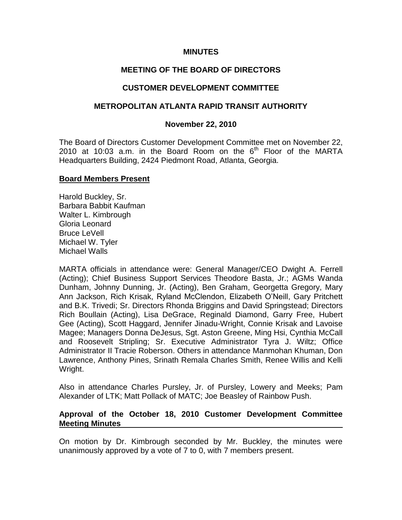## **MINUTES**

## **MEETING OF THE BOARD OF DIRECTORS**

## **CUSTOMER DEVELOPMENT COMMITTEE**

### **METROPOLITAN ATLANTA RAPID TRANSIT AUTHORITY**

### **November 22, 2010**

The Board of Directors Customer Development Committee met on November 22, 2010 at 10:03 a.m. in the Board Room on the  $6<sup>th</sup>$  Floor of the MARTA Headquarters Building, 2424 Piedmont Road, Atlanta, Georgia.

#### **Board Members Present**

Harold Buckley, Sr. Barbara Babbit Kaufman Walter L. Kimbrough Gloria Leonard Bruce LeVell Michael W. Tyler Michael Walls

MARTA officials in attendance were: General Manager/CEO Dwight A. Ferrell (Acting); Chief Business Support Services Theodore Basta, Jr.; AGMs Wanda Dunham, Johnny Dunning, Jr. (Acting), Ben Graham, Georgetta Gregory, Mary Ann Jackson, Rich Krisak, Ryland McClendon, Elizabeth O'Neill, Gary Pritchett and B.K. Trivedi; Sr. Directors Rhonda Briggins and David Springstead; Directors Rich Boullain (Acting), Lisa DeGrace, Reginald Diamond, Garry Free, Hubert Gee (Acting), Scott Haggard, Jennifer Jinadu-Wright, Connie Krisak and Lavoise Magee; Managers Donna DeJesus, Sgt. Aston Greene, Ming Hsi, Cynthia McCall and Roosevelt Stripling; Sr. Executive Administrator Tyra J. Wiltz; Office Administrator II Tracie Roberson. Others in attendance Manmohan Khuman, Don Lawrence, Anthony Pines, Srinath Remala Charles Smith, Renee Willis and Kelli Wright.

Also in attendance Charles Pursley, Jr. of Pursley, Lowery and Meeks; Pam Alexander of LTK; Matt Pollack of MATC; Joe Beasley of Rainbow Push.

#### **Approval of the October 18, 2010 Customer Development Committee Meeting Minutes**

On motion by Dr. Kimbrough seconded by Mr. Buckley, the minutes were unanimously approved by a vote of 7 to 0, with 7 members present.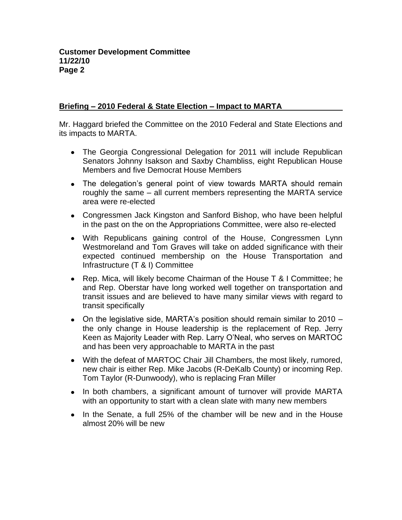## **Briefing – 2010 Federal & State Election – Impact to MARTA**

Mr. Haggard briefed the Committee on the 2010 Federal and State Elections and its impacts to MARTA.

- The Georgia Congressional Delegation for 2011 will include Republican Senators Johnny Isakson and Saxby Chambliss, eight Republican House Members and five Democrat House Members
- The delegation's general point of view towards MARTA should remain roughly the same – all current members representing the MARTA service area were re-elected
- Congressmen Jack Kingston and Sanford Bishop, who have been helpful in the past on the on the Appropriations Committee, were also re-elected
- With Republicans gaining control of the House, Congressmen Lynn Westmoreland and Tom Graves will take on added significance with their expected continued membership on the House Transportation and Infrastructure (T & I) Committee
- Rep. Mica, will likely become Chairman of the House T & I Committee; he and Rep. Oberstar have long worked well together on transportation and transit issues and are believed to have many similar views with regard to transit specifically
- On the legislative side, MARTA's position should remain similar to 2010 the only change in House leadership is the replacement of Rep. Jerry Keen as Majority Leader with Rep. Larry O'Neal, who serves on MARTOC and has been very approachable to MARTA in the past
- With the defeat of MARTOC Chair Jill Chambers, the most likely, rumored, new chair is either Rep. Mike Jacobs (R-DeKalb County) or incoming Rep. Tom Taylor (R-Dunwoody), who is replacing Fran Miller
- In both chambers, a significant amount of turnover will provide MARTA with an opportunity to start with a clean slate with many new members
- $\bullet$  In the Senate, a full 25% of the chamber will be new and in the House almost 20% will be new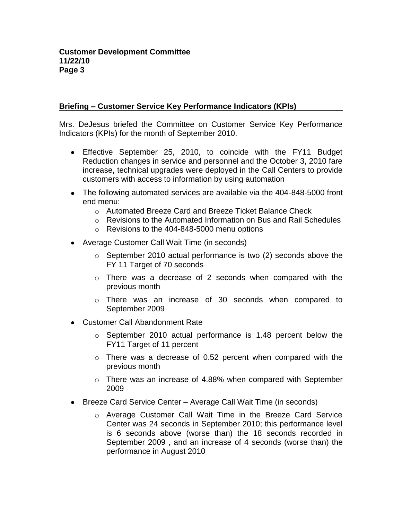## **Briefing – Customer Service Key Performance Indicators (KPIs)**

Mrs. DeJesus briefed the Committee on Customer Service Key Performance Indicators (KPIs) for the month of September 2010.

- Effective September 25, 2010, to coincide with the FY11 Budget Reduction changes in service and personnel and the October 3, 2010 fare increase, technical upgrades were deployed in the Call Centers to provide customers with access to information by using automation
- The following automated services are available via the 404-848-5000 front end menu:
	- o Automated Breeze Card and Breeze Ticket Balance Check
	- $\circ$  Revisions to the Automated Information on Bus and Rail Schedules
	- o Revisions to the 404-848-5000 menu options
- Average Customer Call Wait Time (in seconds)
	- o September 2010 actual performance is two (2) seconds above the FY 11 Target of 70 seconds
	- o There was a decrease of 2 seconds when compared with the previous month
	- o There was an increase of 30 seconds when compared to September 2009
- Customer Call Abandonment Rate
	- o September 2010 actual performance is 1.48 percent below the FY11 Target of 11 percent
	- o There was a decrease of 0.52 percent when compared with the previous month
	- o There was an increase of 4.88% when compared with September 2009
- Breeze Card Service Center Average Call Wait Time (in seconds)
	- o Average Customer Call Wait Time in the Breeze Card Service Center was 24 seconds in September 2010; this performance level is 6 seconds above (worse than) the 18 seconds recorded in September 2009 , and an increase of 4 seconds (worse than) the performance in August 2010